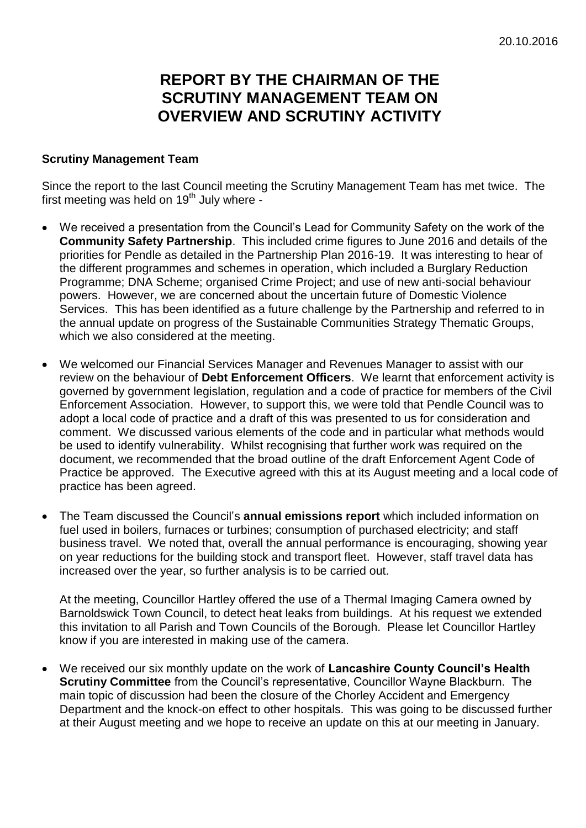## **REPORT BY THE CHAIRMAN OF THE SCRUTINY MANAGEMENT TEAM ON OVERVIEW AND SCRUTINY ACTIVITY**

## **Scrutiny Management Team**

Since the report to the last Council meeting the Scrutiny Management Team has met twice. The first meeting was held on 19<sup>th</sup> July where -

- We received a presentation from the Council's Lead for Community Safety on the work of the **Community Safety Partnership**. This included crime figures to June 2016 and details of the priorities for Pendle as detailed in the Partnership Plan 2016-19. It was interesting to hear of the different programmes and schemes in operation, which included a Burglary Reduction Programme; DNA Scheme; organised Crime Project; and use of new anti-social behaviour powers. However, we are concerned about the uncertain future of Domestic Violence Services. This has been identified as a future challenge by the Partnership and referred to in the annual update on progress of the Sustainable Communities Strategy Thematic Groups, which we also considered at the meeting.
- We welcomed our Financial Services Manager and Revenues Manager to assist with our review on the behaviour of **Debt Enforcement Officers**. We learnt that enforcement activity is governed by government legislation, regulation and a code of practice for members of the Civil Enforcement Association. However, to support this, we were told that Pendle Council was to adopt a local code of practice and a draft of this was presented to us for consideration and comment. We discussed various elements of the code and in particular what methods would be used to identify vulnerability. Whilst recognising that further work was required on the document, we recommended that the broad outline of the draft Enforcement Agent Code of Practice be approved. The Executive agreed with this at its August meeting and a local code of practice has been agreed.
- The Team discussed the Council's **annual emissions report** which included information on fuel used in boilers, furnaces or turbines; consumption of purchased electricity; and staff business travel. We noted that, overall the annual performance is encouraging, showing year on year reductions for the building stock and transport fleet. However, staff travel data has increased over the year, so further analysis is to be carried out.

At the meeting, Councillor Hartley offered the use of a Thermal Imaging Camera owned by Barnoldswick Town Council, to detect heat leaks from buildings. At his request we extended this invitation to all Parish and Town Councils of the Borough. Please let Councillor Hartley know if you are interested in making use of the camera.

 We received our six monthly update on the work of **Lancashire County Council's Health Scrutiny Committee** from the Council's representative, Councillor Wayne Blackburn. The main topic of discussion had been the closure of the Chorley Accident and Emergency Department and the knock-on effect to other hospitals. This was going to be discussed further at their August meeting and we hope to receive an update on this at our meeting in January.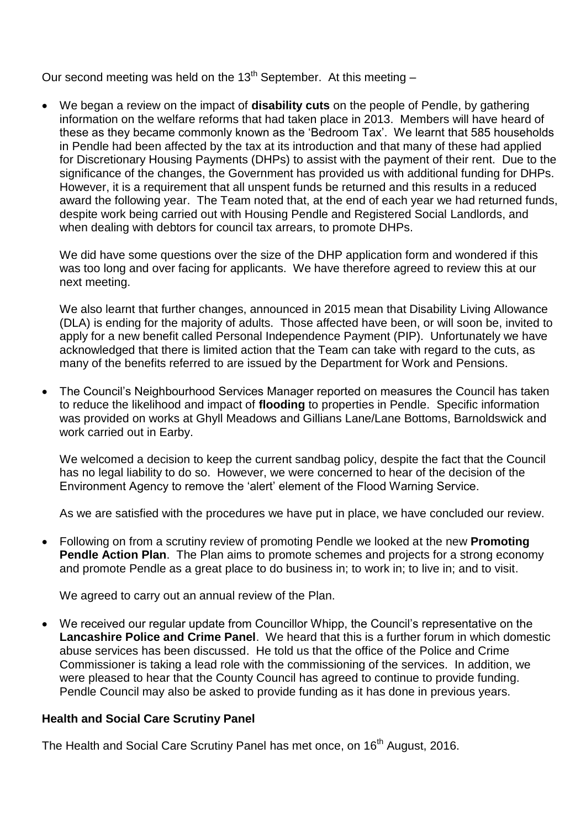Our second meeting was held on the  $13<sup>th</sup>$  September. At this meeting –

 We began a review on the impact of **disability cuts** on the people of Pendle, by gathering information on the welfare reforms that had taken place in 2013. Members will have heard of these as they became commonly known as the 'Bedroom Tax'. We learnt that 585 households in Pendle had been affected by the tax at its introduction and that many of these had applied for Discretionary Housing Payments (DHPs) to assist with the payment of their rent. Due to the significance of the changes, the Government has provided us with additional funding for DHPs. However, it is a requirement that all unspent funds be returned and this results in a reduced award the following year. The Team noted that, at the end of each year we had returned funds, despite work being carried out with Housing Pendle and Registered Social Landlords, and when dealing with debtors for council tax arrears, to promote DHPs.

We did have some questions over the size of the DHP application form and wondered if this was too long and over facing for applicants. We have therefore agreed to review this at our next meeting.

We also learnt that further changes, announced in 2015 mean that Disability Living Allowance (DLA) is ending for the majority of adults. Those affected have been, or will soon be, invited to apply for a new benefit called Personal Independence Payment (PIP). Unfortunately we have acknowledged that there is limited action that the Team can take with regard to the cuts, as many of the benefits referred to are issued by the Department for Work and Pensions.

• The Council's Neighbourhood Services Manager reported on measures the Council has taken to reduce the likelihood and impact of **flooding** to properties in Pendle. Specific information was provided on works at Ghyll Meadows and Gillians Lane/Lane Bottoms, Barnoldswick and work carried out in Earby.

We welcomed a decision to keep the current sandbag policy, despite the fact that the Council has no legal liability to do so. However, we were concerned to hear of the decision of the Environment Agency to remove the 'alert' element of the Flood Warning Service.

As we are satisfied with the procedures we have put in place, we have concluded our review.

 Following on from a scrutiny review of promoting Pendle we looked at the new **Promoting Pendle Action Plan.** The Plan aims to promote schemes and projects for a strong economy and promote Pendle as a great place to do business in; to work in; to live in; and to visit.

We agreed to carry out an annual review of the Plan.

 We received our regular update from Councillor Whipp, the Council's representative on the **Lancashire Police and Crime Panel**. We heard that this is a further forum in which domestic abuse services has been discussed. He told us that the office of the Police and Crime Commissioner is taking a lead role with the commissioning of the services. In addition, we were pleased to hear that the County Council has agreed to continue to provide funding. Pendle Council may also be asked to provide funding as it has done in previous years.

## **Health and Social Care Scrutiny Panel**

The Health and Social Care Scrutiny Panel has met once, on 16<sup>th</sup> August, 2016.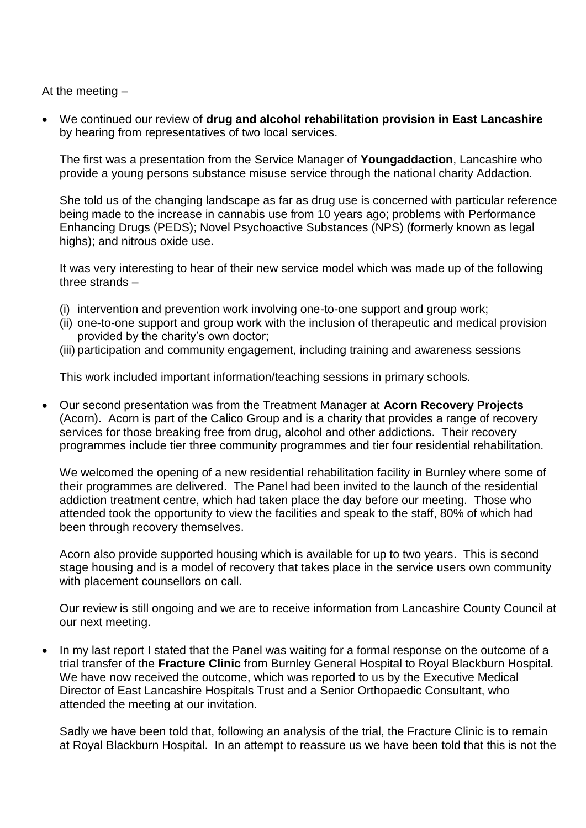At the meeting –

 We continued our review of **drug and alcohol rehabilitation provision in East Lancashire** by hearing from representatives of two local services.

The first was a presentation from the Service Manager of **Youngaddaction**, Lancashire who provide a young persons substance misuse service through the national charity Addaction.

She told us of the changing landscape as far as drug use is concerned with particular reference being made to the increase in cannabis use from 10 years ago; problems with Performance Enhancing Drugs (PEDS); Novel Psychoactive Substances (NPS) (formerly known as legal highs); and nitrous oxide use.

It was very interesting to hear of their new service model which was made up of the following three strands –

- (i) intervention and prevention work involving one-to-one support and group work;
- (ii) one-to-one support and group work with the inclusion of therapeutic and medical provision provided by the charity's own doctor;
- (iii) participation and community engagement, including training and awareness sessions

This work included important information/teaching sessions in primary schools.

 Our second presentation was from the Treatment Manager at **Acorn Recovery Projects** (Acorn). Acorn is part of the Calico Group and is a charity that provides a range of recovery services for those breaking free from drug, alcohol and other addictions. Their recovery programmes include tier three community programmes and tier four residential rehabilitation.

We welcomed the opening of a new residential rehabilitation facility in Burnley where some of their programmes are delivered. The Panel had been invited to the launch of the residential addiction treatment centre, which had taken place the day before our meeting. Those who attended took the opportunity to view the facilities and speak to the staff, 80% of which had been through recovery themselves.

Acorn also provide supported housing which is available for up to two years. This is second stage housing and is a model of recovery that takes place in the service users own community with placement counsellors on call.

Our review is still ongoing and we are to receive information from Lancashire County Council at our next meeting.

 In my last report I stated that the Panel was waiting for a formal response on the outcome of a trial transfer of the **Fracture Clinic** from Burnley General Hospital to Royal Blackburn Hospital. We have now received the outcome, which was reported to us by the Executive Medical Director of East Lancashire Hospitals Trust and a Senior Orthopaedic Consultant, who attended the meeting at our invitation.

Sadly we have been told that, following an analysis of the trial, the Fracture Clinic is to remain at Royal Blackburn Hospital. In an attempt to reassure us we have been told that this is not the